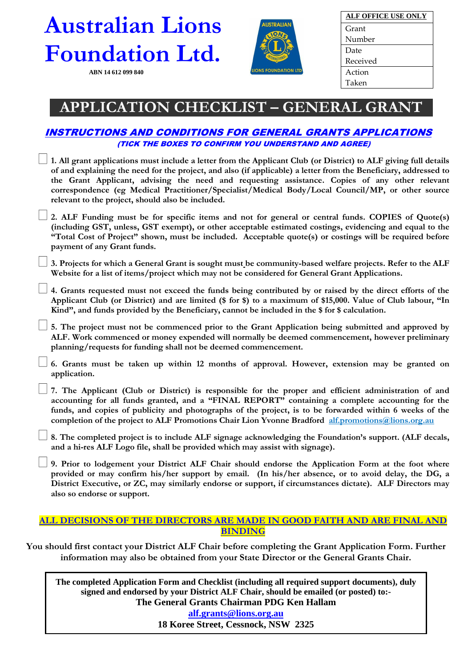# **Australian Lions Foundation Ltd.**

 **ABN 14 612 099 840**



| <b>ALF OFFICE USE ONLY</b> |
|----------------------------|
| Grant                      |
| Number                     |
| Date                       |
| Received                   |
| Action                     |
| Taken                      |

## **APPLICATION CHECKLIST – GENERAL GRANT**

### INSTRUCTIONS AND CONDITIONS FOR GENERAL GRANTS APPLICATIONS (TICK THE BOXES TO CONFIRM YOU UNDERSTAND AND AGREE)

| <i>(TICK THE BOXES TO CONFIRM YOU UNDERSTAND AND AGREE)</i>                                                                                                                                                                                                                                                                                                                                                                                                                                      |
|--------------------------------------------------------------------------------------------------------------------------------------------------------------------------------------------------------------------------------------------------------------------------------------------------------------------------------------------------------------------------------------------------------------------------------------------------------------------------------------------------|
| 1. All grant applications must include a letter from the Applicant Club (or District) to ALF giving full details<br>of and explaining the need for the project, and also (if applicable) a letter from the Beneficiary, addressed to<br>the Grant Applicant, advising the need and requesting assistance. Copies of any other relevant<br>correspondence (eg Medical Practitioner/Specialist/Medical Body/Local Council/MP, or other source<br>relevant to the project, should also be included. |
| 2. ALF Funding must be for specific items and not for general or central funds. COPIES of Quote(s)<br>(including GST, unless, GST exempt), or other acceptable estimated costings, evidencing and equal to the<br>"Total Cost of Project" shown, must be included. Acceptable quote(s) or costings will be required before<br>payment of any Grant funds.                                                                                                                                        |
| 3. Projects for which a General Grant is sought must be community-based welfare projects. Refer to the ALF<br>Website for a list of items/project which may not be considered for General Grant Applications.                                                                                                                                                                                                                                                                                    |
| 4. Grants requested must not exceed the funds being contributed by or raised by the direct efforts of the<br>Applicant Club (or District) and are limited (\$ for \$) to a maximum of \$15,000. Value of Club labour, "In<br>Kind", and funds provided by the Beneficiary, cannot be included in the \$ for \$ calculation.                                                                                                                                                                      |
| 5. The project must not be commenced prior to the Grant Application being submitted and approved by<br>ALF. Work commenced or money expended will normally be deemed commencement, however preliminary<br>planning/requests for funding shall not be deemed commencement.                                                                                                                                                                                                                        |
| 6. Grants must be taken up within 12 months of approval. However, extension may be granted on<br>application.                                                                                                                                                                                                                                                                                                                                                                                    |
| 7. The Applicant (Club or District) is responsible for the proper and efficient administration of and<br>accounting for all funds granted, and a "FINAL REPORT" containing a complete accounting for the<br>funds, and copies of publicity and photographs of the project, is to be forwarded within 6 weeks of the<br>completion of the project to ALF Promotions Chair Lion Yvonne Bradford alf.promotions@lions.org.au                                                                        |
| 8. The completed project is to include ALF signage acknowledging the Foundation's support. (ALF decals,<br>and a hi-res ALF Logo file, shall be provided which may assist with signage).                                                                                                                                                                                                                                                                                                         |
| 9. Prior to lodgement your District ALF Chair should endorse the Application Form at the foot where<br>provided or may confirm his/her support by email. (In his/her absence, or to avoid delay, the DG, a<br>District Executive, or ZC, may similarly endorse or support, if circumstances dictate). ALF Directors may<br>also so endorse or support.                                                                                                                                           |
| ALL DECISIONS OF THE DIRECTORS ARE MADE IN GOOD FAITH AND ARE FINAL AND                                                                                                                                                                                                                                                                                                                                                                                                                          |

**BINDING**

**You should first contact your District ALF Chair before completing the Grant Application Form. Further information may also be obtained from your State Director or the General Grants Chair.**

**The completed Application Form and Checklist (including all required support documents), duly signed and endorsed by your District ALF Chair, should be emailed (or posted) to:- The General Grants Chairman PDG Ken Hallam [alf.grants@lions.org.au](mailto:alf.grants@lions.org.au) 18 Koree Street, Cessnock, NSW 2325**